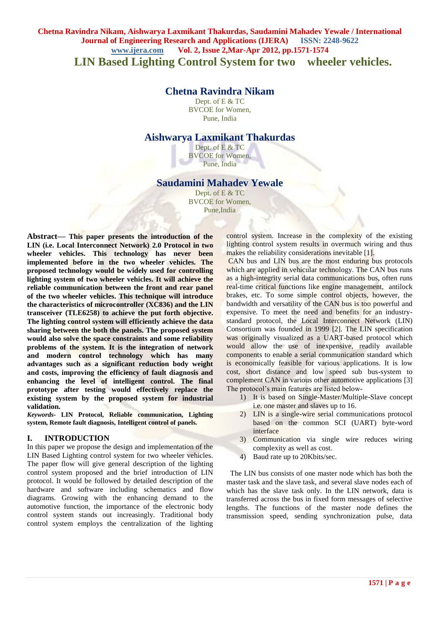## **Chetna Ravindra Nikam, Aishwarya Laxmikant Thakurdas, Saudamini Mahadev Yewale / International Journal of Engineering Research and Applications (IJERA) ISSN: 2248-9622 www.ijera.com Vol. 2, Issue 2,Mar-Apr 2012, pp.1571-1574 LIN Based Lighting Control System for two wheeler vehicles.**

# **Chetna Ravindra Nikam**

Dept. of E & TC BVCOE for Women, Pune, India

## **Aishwarya Laxmikant Thakurdas**

Dept. of E & TC BVCOE for Women, Pune, India

## **Saudamini Mahadev Yewale**

Dept. of E & TC BVCOE for Women, Pune,India

**Abstract***—* **This paper presents the introduction of the LIN (i.e. Local Interconnect Network) 2.0 Protocol in two wheeler vehicles. This technology has never been implemented before in the two wheeler vehicles. The proposed technology would be widely used for controlling lighting system of two wheeler vehicles. It will achieve the reliable communication between the front and rear panel of the two wheeler vehicles. This technique will introduce the characteristics of microcontroller (XC836) and the LIN transceiver (TLE6258) to achieve the put forth objective. The lighting control system will efficiently achieve the data sharing between the both the panels. The proposed system would also solve the space constraints and some reliability problems of the system. It is the integration of network and modern control technology which has many advantages such as a significant reduction body weight and costs, improving the efficiency of fault diagnosis and enhancing the level of intelligent control. The final prototype after testing would effectively replace the existing system by the proposed system for industrial validation.**

*Keywords-* **LIN Protocol, Reliable communication, Lighting system, Remote fault diagnosis, Intelligent control of panels.**

### **I. INTRODUCTION**

In this paper we propose the design and implementation of the LIN Based Lighting control system for two wheeler vehicles. The paper flow will give general description of the lighting control system proposed and the brief introduction of LIN protocol. It would be followed by detailed description of the hardware and software including schematics and flow diagrams. Growing with the enhancing demand to the automotive function, the importance of the electronic body control system stands out increasingly. Traditional body control system employs the centralization of the lighting

control system. Increase in the complexity of the existing lighting control system results in overmuch wiring and thus makes the reliability considerations inevitable [1].

CAN bus and LIN bus are the most enduring bus protocols which are applied in vehicular technology. The CAN bus runs as a high-integrity serial data communications bus, often runs real-time critical functions like engine management, antilock brakes, etc. To some simple control objects, however, the bandwidth and versatility of the CAN bus is too powerful and expensive. To meet the need and benefits for an industrystandard protocol, the Local Interconnect Network (LIN) Consortium was founded in 1999 [2]. The LIN specification was originally visualized as a UART-based protocol which would allow the use of inexpensive, readily available components to enable a serial communication standard which is economically feasible for various applications. It is low cost, short distance and low speed sub bus-system to complement CAN in various other automotive applications [3] The protocol's main features are listed below-

- 1) It is based on Single-Master/Multiple-Slave concept i.e. one master and slaves up to 16.
- 2) LIN is a single-wire serial communications protocol based on the common SCI (UART) byte-word interface
- 3) Communication via single wire reduces wiring complexity as well as cost.
- 4) Baud rate up to 20Kbits/sec.

 The LIN bus consists of one master node which has both the master task and the slave task, and several slave nodes each of which has the slave task only. In the LIN network, data is transferred across the bus in fixed form messages of selective lengths. The functions of the master node defines the transmission speed, sending synchronization pulse, data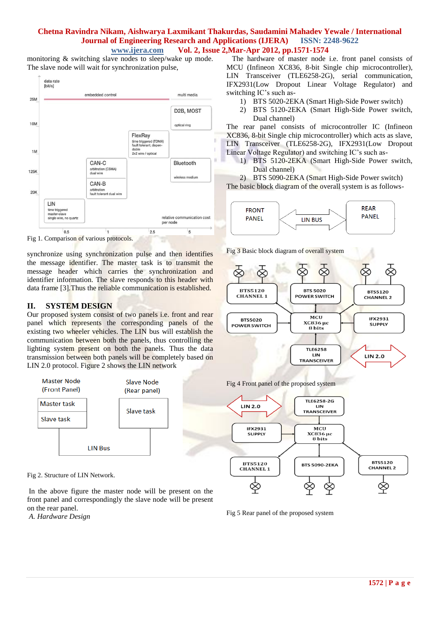#### **Chetna Ravindra Nikam, Aishwarya Laxmikant Thakurdas, Saudamini Mahadev Yewale / International Journal of Engineering Research and Applications (IJERA) ISSN: 2248-9622 www.ijera.com Vol. 2, Issue 2,Mar-Apr 2012, pp.1571-1574**

monitoring & switching slave nodes to sleep/wake up mode. The slave node will wait for synchronization pulse,



Fig 1. Comparison of various protocols.

synchronize using synchronization pulse and then identifies the message identifier. The master task is to transmit the message header which carries the synchronization and identifier information. The slave responds to this header with data frame [3].Thus the reliable communication is established.

## **II. SYSTEM DESIGN**

Our proposed system consist of two panels i.e. front and rear panel which represents the corresponding panels of the existing two wheeler vehicles. The LIN bus will establish the communication between both the panels, thus controlling the lighting system present on both the panels. Thus the data transmission between both panels will be completely based on LIN 2.0 protocol. Figure 2 shows the LIN network



Fig 2. Structure of LIN Network.

In the above figure the master node will be present on the front panel and correspondingly the slave node will be present on the rear panel.



 The hardware of master node i.e. front panel consists of MCU (Infineon XC836, 8-bit Single chip microcontroller), LIN Transceiver (TLE6258-2G), serial communication, IFX2931(Low Dropout Linear Voltage Regulator) and switching IC's such as-

- 1) BTS 5020-2EKA (Smart High-Side Power switch)
- 2) BTS 5120-2EKA (Smart High-Side Power switch, Dual channel)

The rear panel consists of microcontroller IC (Infineon XC836, 8-bit Single chip microcontroller) which acts as slave, LIN Transceiver (TLE6258-2G), IFX2931(Low Dropout Linear Voltage Regulator) and switching IC's such as-

1) BTS 5120-2EKA (Smart High-Side Power switch, Dual channel)

2) BTS 5090-2EKA (Smart High-Side Power switch) The basic block diagram of the overall system is as follows-



Fig 3 Basic block diagram of overall system



Fig 4 Front panel of the proposed system



Fig 5 Rear panel of the proposed system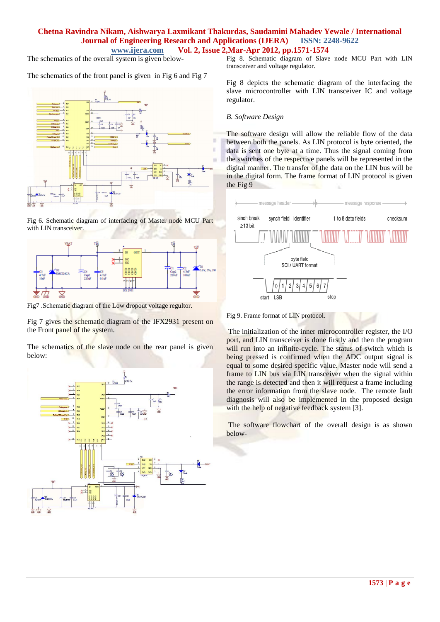#### **Chetna Ravindra Nikam, Aishwarya Laxmikant Thakurdas, Saudamini Mahadev Yewale / International Journal of Engineering Research and Applications (IJERA) ISSN: 2248-9622 www.ijera.com Vol. 2, Issue 2,Mar-Apr 2012, pp.1571-1574**

The schematics of the overall system is given below-

The schematics of the front panel is given in Fig 6 and Fig 7



Fig 6. Schematic diagram of interfacing of Master node MCU Part with LIN transceiver.



Fig7 .Schematic diagram of the Low dropout voltage regultor.

Fig 7 gives the schematic diagram of the IFX2931 present on the Front panel of the system.

The schematics of the slave node on the rear panel is given below:



Fig 8. Schematic diagram of Slave node MCU Part with LIN transceiver and voltage regulator.

Fig 8 depicts the schematic diagram of the interfacing the slave microcontroller with LIN transceiver IC and voltage regulator.

#### *B. Software Design*

The software design will allow the reliable flow of the data between both the panels. As LIN protocol is byte oriented, the data is sent one byte at a time. Thus the signal coming from the switches of the respective panels will be represented in the digital manner. The transfer of the data on the LIN bus will be in the digital form. The frame format of LIN protocol is given the Fig 9



Fig 9. Frame format of LIN protocol.

The initialization of the inner microcontroller register, the I/O port, and LIN transceiver is done firstly and then the program will run into an infinite-cycle. The status of switch which is being pressed is confirmed when the ADC output signal is equal to some desired specific value. Master node will send a frame to LIN bus via LIN transceiver when the signal within the range is detected and then it will request a frame including the error information from the slave node. The remote fault diagnosis will also be implemented in the proposed design with the help of negative feedback system [3].

The software flowchart of the overall design is as shown below-